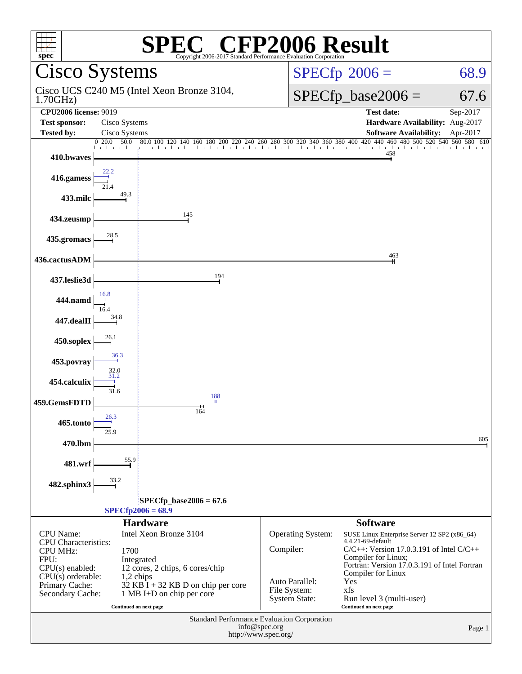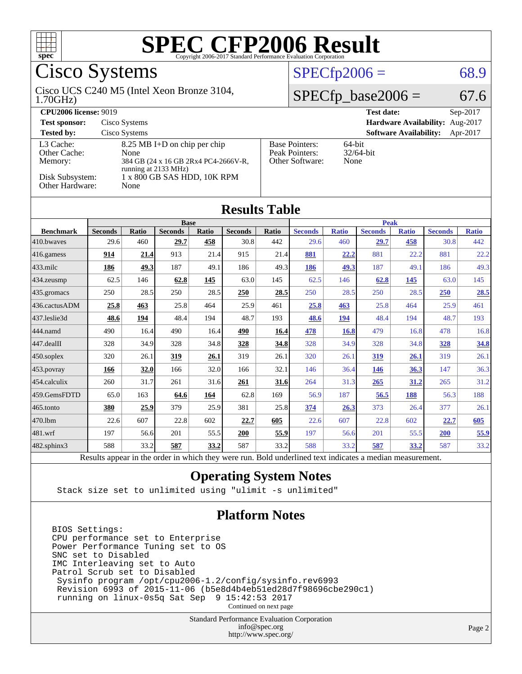

Cisco Systems

### $SPECfp2006 = 68.9$  $SPECfp2006 = 68.9$

 $SPECTp\_base2006 = 67.6$ 

#### 1.70GHz) Cisco UCS C240 M5 (Intel Xeon Bronze 3104,

#### **[CPU2006 license:](http://www.spec.org/auto/cpu2006/Docs/result-fields.html#CPU2006license)** 9019

**[Test sponsor:](http://www.spec.org/auto/cpu2006/Docs/result-fields.html#Testsponsor)** Cisco Systems **[Tested by:](http://www.spec.org/auto/cpu2006/Docs/result-fields.html#Testedby)** Cisco Systems [L3 Cache:](http://www.spec.org/auto/cpu2006/Docs/result-fields.html#L3Cache) 8.25 MB I+<br>Other Cache: None [Other Cache:](http://www.spec.org/auto/cpu2006/Docs/result-fields.html#OtherCache) [Memory:](http://www.spec.org/auto/cpu2006/Docs/result-fields.html#Memory)  $384 \text{ GB} (24 \text{ x})$ running at 21 [Disk Subsystem:](http://www.spec.org/auto/cpu2006/Docs/result-fields.html#DiskSubsystem) 1 x 800 GB SAS HDD, 1

| D on chip per chip        | <b>Base Pointers:</b> | 6 |
|---------------------------|-----------------------|---|
|                           | Peak Pointers:        | 3 |
| : 16 GB 2Rx4 PC4-2666V-R, | Other Software:       | N |
| 33 MHz)                   |                       |   |
| <b>CACILD</b>             |                       |   |

[Other Hardware:](http://www.spec.org/auto/cpu2006/Docs/result-fields.html#OtherHardware) None

|                      |                       | Test date:                             | $Sep-2017$ |  |  |  |
|----------------------|-----------------------|----------------------------------------|------------|--|--|--|
|                      |                       | <b>Hardware Availability: Aug-2017</b> |            |  |  |  |
|                      |                       | <b>Software Availability:</b>          | Apr-2017   |  |  |  |
| chip                 | <b>Base Pointers:</b> | 64-bit                                 |            |  |  |  |
|                      | Peak Pointers:        | $32/64$ -bit                           |            |  |  |  |
| C4-2666V-R,          | Other Software:       | None                                   |            |  |  |  |
| 0K RPM               |                       |                                        |            |  |  |  |
|                      |                       |                                        |            |  |  |  |
|                      |                       |                                        |            |  |  |  |
| <b>Results Table</b> |                       |                                        |            |  |  |  |

|                  | <b>Base</b>    |       |                |       |                | <b>Peak</b> |                |              |                |              |                |              |
|------------------|----------------|-------|----------------|-------|----------------|-------------|----------------|--------------|----------------|--------------|----------------|--------------|
| <b>Benchmark</b> | <b>Seconds</b> | Ratio | <b>Seconds</b> | Ratio | <b>Seconds</b> | Ratio       | <b>Seconds</b> | <b>Ratio</b> | <b>Seconds</b> | <b>Ratio</b> | <b>Seconds</b> | <b>Ratio</b> |
| 410.bwayes       | 29.6           | 460   | 29.7           | 458   | 30.8           | 442         | 29.6           | 460          | 29.7           | 458          | 30.8           | 442          |
| 416.gamess       | 914            | 21.4  | 913            | 21.4  | 915            | 21.4        | 881            | 22.2         | 881            | 22.2         | 881            | 22.2         |
| $433$ .milc      | 186            | 49.3  | 187            | 49.1  | 186            | 49.3        | 186            | 49.3         | 187            | 49.1         | 186            | 49.3         |
| 434.zeusmp       | 62.5           | 146   | 62.8           | 145   | 63.0           | 145         | 62.5           | 146          | 62.8           | 145          | 63.0           | 145          |
| 435.gromacs      | 250            | 28.5  | 250            | 28.5  | 250            | 28.5        | 250            | 28.5         | 250            | 28.5         | <b>250</b>     | 28.5         |
| 436.cactusADM    | 25.8           | 463   | 25.8           | 464   | 25.9           | 461         | 25.8           | 463          | 25.8           | 464          | 25.9           | 461          |
| 437.leslie3d     | 48.6           | 194   | 48.4           | 194   | 48.7           | 193         | 48.6           | 194          | 48.4           | 194          | 48.7           | 193          |
| 444.namd         | 490            | 16.4  | 490            | 16.4  | 490            | 16.4        | 478            | 16.8         | 479            | 16.8         | 478            | 16.8         |
| 447.dealII       | 328            | 34.9  | 328            | 34.8  | 328            | 34.8        | 328            | 34.9         | 328            | 34.8         | <u>328</u>     | 34.8         |
| 450.soplex       | 320            | 26.1  | 319            | 26.1  | 319            | 26.1        | 320            | 26.1         | <u>319</u>     | 26.1         | 319            | 26.1         |
| 453.povray       | 166            | 32.0  | 166            | 32.0  | 166            | 32.1        | 146            | 36.4         | <u>146</u>     | 36.3         | 147            | 36.3         |
| 454.calculix     | 260            | 31.7  | 261            | 31.6  | 261            | 31.6        | 264            | 31.3         | 265            | 31.2         | 265            | 31.2         |
| 459.GemsFDTD     | 65.0           | 163   | 64.6           | 164   | 62.8           | 169         | 56.9           | 187          | 56.5           | 188          | 56.3           | 188          |
| 465.tonto        | 380            | 25.9  | 379            | 25.9  | 381            | 25.8        | 374            | 26.3         | 373            | 26.4         | 377            | 26.1         |
| $470$ .lbm       | 22.6           | 607   | 22.8           | 602   | 22.7           | 605         | 22.6           | 607          | 22.8           | 602          | 22.7           | 605          |
| 481.wrf          | 197            | 56.6  | 201            | 55.5  | 200            | 55.9        | 197            | 56.6         | 201            | 55.5         | 200            | 55.9         |
| 482.sphinx3      | 588            | 33.2  | 587            | 33.2  | 587            | 33.2        | 588            | 33.2         | 587            | 33.2         | 587            | 33.2         |

Results appear in the [order in which they were run.](http://www.spec.org/auto/cpu2006/Docs/result-fields.html#RunOrder) Bold underlined text [indicates a median measurement.](http://www.spec.org/auto/cpu2006/Docs/result-fields.html#Median)

#### **[Operating System Notes](http://www.spec.org/auto/cpu2006/Docs/result-fields.html#OperatingSystemNotes)**

Stack size set to unlimited using "ulimit -s unlimited"

#### **[Platform Notes](http://www.spec.org/auto/cpu2006/Docs/result-fields.html#PlatformNotes)**

BIOS Settings: CPU performance set to Enterprise Power Performance Tuning set to OS SNC set to Disabled IMC Interleaving set to Auto Patrol Scrub set to Disabled Sysinfo program /opt/cpu2006-1.2/config/sysinfo.rev6993 Revision 6993 of 2015-11-06 (b5e8d4b4eb51ed28d7f98696cbe290c1) running on linux-0s5q Sat Sep 9 15:42:53 2017 Continued on next page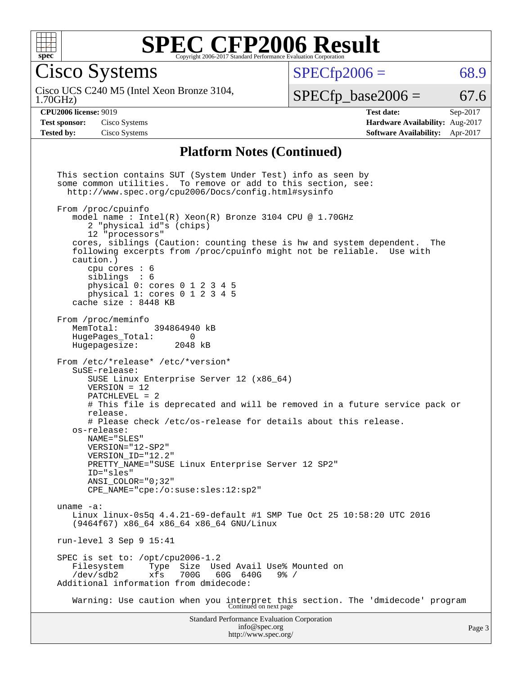

Cisco Systems

 $SPECTp2006 = 68.9$ 

1.70GHz) Cisco UCS C240 M5 (Intel Xeon Bronze 3104,

 $SPECTp\_base2006 = 67.6$ 

**[Test sponsor:](http://www.spec.org/auto/cpu2006/Docs/result-fields.html#Testsponsor)** Cisco Systems **[Hardware Availability:](http://www.spec.org/auto/cpu2006/Docs/result-fields.html#HardwareAvailability)** Aug-2017

**[CPU2006 license:](http://www.spec.org/auto/cpu2006/Docs/result-fields.html#CPU2006license)** 9019 **[Test date:](http://www.spec.org/auto/cpu2006/Docs/result-fields.html#Testdate)** Sep-2017 **[Tested by:](http://www.spec.org/auto/cpu2006/Docs/result-fields.html#Testedby)** Cisco Systems **[Software Availability:](http://www.spec.org/auto/cpu2006/Docs/result-fields.html#SoftwareAvailability)** Apr-2017

#### **[Platform Notes \(Continued\)](http://www.spec.org/auto/cpu2006/Docs/result-fields.html#PlatformNotes)**

Standard Performance Evaluation Corporation [info@spec.org](mailto:info@spec.org) This section contains SUT (System Under Test) info as seen by some common utilities. To remove or add to this section, see: <http://www.spec.org/cpu2006/Docs/config.html#sysinfo> From /proc/cpuinfo model name : Intel(R) Xeon(R) Bronze 3104 CPU @ 1.70GHz 2 "physical id"s (chips) 12 "processors" cores, siblings (Caution: counting these is hw and system dependent. The following excerpts from /proc/cpuinfo might not be reliable. Use with caution.) cpu cores : 6 siblings : 6 physical 0: cores 0 1 2 3 4 5 physical 1: cores 0 1 2 3 4 5 cache size : 8448 KB From /proc/meminfo<br>MemTotal: 394864940 kB HugePages\_Total: 0<br>Hugepagesize: 2048 kB Hugepagesize: From /etc/\*release\* /etc/\*version\* SuSE-release: SUSE Linux Enterprise Server 12 (x86\_64) VERSION = 12 PATCHLEVEL = 2 # This file is deprecated and will be removed in a future service pack or release. # Please check /etc/os-release for details about this release. os-release: NAME="SLES" VERSION="12-SP2" VERSION\_ID="12.2" PRETTY\_NAME="SUSE Linux Enterprise Server 12 SP2" ID="sles" ANSI\_COLOR="0;32" CPE\_NAME="cpe:/o:suse:sles:12:sp2" uname -a: Linux linux-0s5q 4.4.21-69-default #1 SMP Tue Oct 25 10:58:20 UTC 2016 (9464f67) x86\_64 x86\_64 x86\_64 GNU/Linux run-level 3 Sep 9 15:41 SPEC is set to: /opt/cpu2006-1.2 Filesystem Type Size Used Avail Use% Mounted on<br>/dev/sdb2 xfs 700G 60G 640G 9% / /dev/sdb2 xfs 700G 60G 640G 9% / Additional information from dmidecode: Warning: Use caution when you interpret this section. The 'dmidecode' program Continued on next page

<http://www.spec.org/>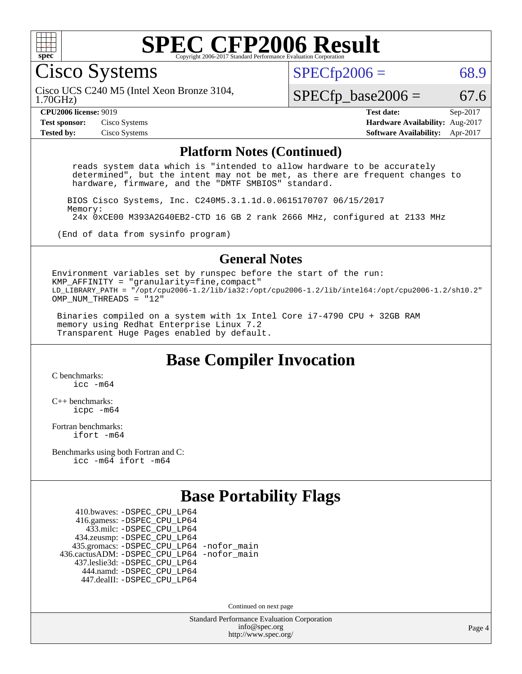

Cisco Systems

 $SPECTp2006 = 68.9$ 

1.70GHz) Cisco UCS C240 M5 (Intel Xeon Bronze 3104,

 $SPECTp\_base2006 = 67.6$ 

**[CPU2006 license:](http://www.spec.org/auto/cpu2006/Docs/result-fields.html#CPU2006license)** 9019 **[Test date:](http://www.spec.org/auto/cpu2006/Docs/result-fields.html#Testdate)** Sep-2017 **[Test sponsor:](http://www.spec.org/auto/cpu2006/Docs/result-fields.html#Testsponsor)** Cisco Systems **[Hardware Availability:](http://www.spec.org/auto/cpu2006/Docs/result-fields.html#HardwareAvailability)** Aug-2017 **[Tested by:](http://www.spec.org/auto/cpu2006/Docs/result-fields.html#Testedby)** Cisco Systems **[Software Availability:](http://www.spec.org/auto/cpu2006/Docs/result-fields.html#SoftwareAvailability)** Apr-2017

#### **[Platform Notes \(Continued\)](http://www.spec.org/auto/cpu2006/Docs/result-fields.html#PlatformNotes)**

 reads system data which is "intended to allow hardware to be accurately determined", but the intent may not be met, as there are frequent changes to hardware, firmware, and the "DMTF SMBIOS" standard.

 BIOS Cisco Systems, Inc. C240M5.3.1.1d.0.0615170707 06/15/2017 Memory:

24x 0xCE00 M393A2G40EB2-CTD 16 GB 2 rank 2666 MHz, configured at 2133 MHz

(End of data from sysinfo program)

#### **[General Notes](http://www.spec.org/auto/cpu2006/Docs/result-fields.html#GeneralNotes)**

Environment variables set by runspec before the start of the run: KMP AFFINITY = "granularity=fine, compact" LD\_LIBRARY\_PATH = "/opt/cpu2006-1.2/lib/ia32:/opt/cpu2006-1.2/lib/intel64:/opt/cpu2006-1.2/sh10.2" OMP NUM THREADS = "12"

 Binaries compiled on a system with 1x Intel Core i7-4790 CPU + 32GB RAM memory using Redhat Enterprise Linux 7.2 Transparent Huge Pages enabled by default.

### **[Base Compiler Invocation](http://www.spec.org/auto/cpu2006/Docs/result-fields.html#BaseCompilerInvocation)**

[C benchmarks](http://www.spec.org/auto/cpu2006/Docs/result-fields.html#Cbenchmarks): [icc -m64](http://www.spec.org/cpu2006/results/res2017q4/cpu2006-20170919-50248.flags.html#user_CCbase_intel_icc_64bit_bda6cc9af1fdbb0edc3795bac97ada53)

[C++ benchmarks:](http://www.spec.org/auto/cpu2006/Docs/result-fields.html#CXXbenchmarks) [icpc -m64](http://www.spec.org/cpu2006/results/res2017q4/cpu2006-20170919-50248.flags.html#user_CXXbase_intel_icpc_64bit_fc66a5337ce925472a5c54ad6a0de310)

[Fortran benchmarks](http://www.spec.org/auto/cpu2006/Docs/result-fields.html#Fortranbenchmarks): [ifort -m64](http://www.spec.org/cpu2006/results/res2017q4/cpu2006-20170919-50248.flags.html#user_FCbase_intel_ifort_64bit_ee9d0fb25645d0210d97eb0527dcc06e)

[Benchmarks using both Fortran and C](http://www.spec.org/auto/cpu2006/Docs/result-fields.html#BenchmarksusingbothFortranandC): [icc -m64](http://www.spec.org/cpu2006/results/res2017q4/cpu2006-20170919-50248.flags.html#user_CC_FCbase_intel_icc_64bit_bda6cc9af1fdbb0edc3795bac97ada53) [ifort -m64](http://www.spec.org/cpu2006/results/res2017q4/cpu2006-20170919-50248.flags.html#user_CC_FCbase_intel_ifort_64bit_ee9d0fb25645d0210d97eb0527dcc06e)

### **[Base Portability Flags](http://www.spec.org/auto/cpu2006/Docs/result-fields.html#BasePortabilityFlags)**

 410.bwaves: [-DSPEC\\_CPU\\_LP64](http://www.spec.org/cpu2006/results/res2017q4/cpu2006-20170919-50248.flags.html#suite_basePORTABILITY410_bwaves_DSPEC_CPU_LP64) 416.gamess: [-DSPEC\\_CPU\\_LP64](http://www.spec.org/cpu2006/results/res2017q4/cpu2006-20170919-50248.flags.html#suite_basePORTABILITY416_gamess_DSPEC_CPU_LP64) 433.milc: [-DSPEC\\_CPU\\_LP64](http://www.spec.org/cpu2006/results/res2017q4/cpu2006-20170919-50248.flags.html#suite_basePORTABILITY433_milc_DSPEC_CPU_LP64) 434.zeusmp: [-DSPEC\\_CPU\\_LP64](http://www.spec.org/cpu2006/results/res2017q4/cpu2006-20170919-50248.flags.html#suite_basePORTABILITY434_zeusmp_DSPEC_CPU_LP64) 435.gromacs: [-DSPEC\\_CPU\\_LP64](http://www.spec.org/cpu2006/results/res2017q4/cpu2006-20170919-50248.flags.html#suite_basePORTABILITY435_gromacs_DSPEC_CPU_LP64) [-nofor\\_main](http://www.spec.org/cpu2006/results/res2017q4/cpu2006-20170919-50248.flags.html#user_baseLDPORTABILITY435_gromacs_f-nofor_main) 436.cactusADM: [-DSPEC\\_CPU\\_LP64](http://www.spec.org/cpu2006/results/res2017q4/cpu2006-20170919-50248.flags.html#suite_basePORTABILITY436_cactusADM_DSPEC_CPU_LP64) [-nofor\\_main](http://www.spec.org/cpu2006/results/res2017q4/cpu2006-20170919-50248.flags.html#user_baseLDPORTABILITY436_cactusADM_f-nofor_main) 437.leslie3d: [-DSPEC\\_CPU\\_LP64](http://www.spec.org/cpu2006/results/res2017q4/cpu2006-20170919-50248.flags.html#suite_basePORTABILITY437_leslie3d_DSPEC_CPU_LP64) 444.namd: [-DSPEC\\_CPU\\_LP64](http://www.spec.org/cpu2006/results/res2017q4/cpu2006-20170919-50248.flags.html#suite_basePORTABILITY444_namd_DSPEC_CPU_LP64) 447.dealII: [-DSPEC\\_CPU\\_LP64](http://www.spec.org/cpu2006/results/res2017q4/cpu2006-20170919-50248.flags.html#suite_basePORTABILITY447_dealII_DSPEC_CPU_LP64)

Continued on next page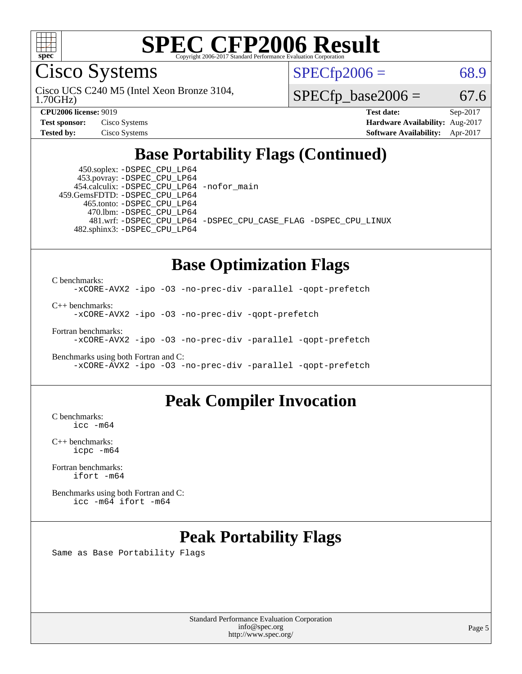

Cisco Systems

 $SPECTp2006 = 68.9$ 

1.70GHz) Cisco UCS C240 M5 (Intel Xeon Bronze 3104,

 $SPECTp\_base2006 = 67.6$ 

| <b>Test sponsor:</b> | Cisco Systems |
|----------------------|---------------|
| Tested bv:           | Cisco Systems |

**[CPU2006 license:](http://www.spec.org/auto/cpu2006/Docs/result-fields.html#CPU2006license)** 9019 **[Test date:](http://www.spec.org/auto/cpu2006/Docs/result-fields.html#Testdate)** Sep-2017 **[Hardware Availability:](http://www.spec.org/auto/cpu2006/Docs/result-fields.html#HardwareAvailability)** Aug-2017 **[Software Availability:](http://www.spec.org/auto/cpu2006/Docs/result-fields.html#SoftwareAvailability)** Apr-2017

### **[Base Portability Flags \(Continued\)](http://www.spec.org/auto/cpu2006/Docs/result-fields.html#BasePortabilityFlags)**

 450.soplex: [-DSPEC\\_CPU\\_LP64](http://www.spec.org/cpu2006/results/res2017q4/cpu2006-20170919-50248.flags.html#suite_basePORTABILITY450_soplex_DSPEC_CPU_LP64) 453.povray: [-DSPEC\\_CPU\\_LP64](http://www.spec.org/cpu2006/results/res2017q4/cpu2006-20170919-50248.flags.html#suite_basePORTABILITY453_povray_DSPEC_CPU_LP64) 454.calculix: [-DSPEC\\_CPU\\_LP64](http://www.spec.org/cpu2006/results/res2017q4/cpu2006-20170919-50248.flags.html#suite_basePORTABILITY454_calculix_DSPEC_CPU_LP64) [-nofor\\_main](http://www.spec.org/cpu2006/results/res2017q4/cpu2006-20170919-50248.flags.html#user_baseLDPORTABILITY454_calculix_f-nofor_main) 459.GemsFDTD: [-DSPEC\\_CPU\\_LP64](http://www.spec.org/cpu2006/results/res2017q4/cpu2006-20170919-50248.flags.html#suite_basePORTABILITY459_GemsFDTD_DSPEC_CPU_LP64) 465.tonto: [-DSPEC\\_CPU\\_LP64](http://www.spec.org/cpu2006/results/res2017q4/cpu2006-20170919-50248.flags.html#suite_basePORTABILITY465_tonto_DSPEC_CPU_LP64) 470.lbm: [-DSPEC\\_CPU\\_LP64](http://www.spec.org/cpu2006/results/res2017q4/cpu2006-20170919-50248.flags.html#suite_basePORTABILITY470_lbm_DSPEC_CPU_LP64) 482.sphinx3: [-DSPEC\\_CPU\\_LP64](http://www.spec.org/cpu2006/results/res2017q4/cpu2006-20170919-50248.flags.html#suite_basePORTABILITY482_sphinx3_DSPEC_CPU_LP64)

481.wrf: [-DSPEC\\_CPU\\_LP64](http://www.spec.org/cpu2006/results/res2017q4/cpu2006-20170919-50248.flags.html#suite_basePORTABILITY481_wrf_DSPEC_CPU_LP64) [-DSPEC\\_CPU\\_CASE\\_FLAG](http://www.spec.org/cpu2006/results/res2017q4/cpu2006-20170919-50248.flags.html#b481.wrf_baseCPORTABILITY_DSPEC_CPU_CASE_FLAG) [-DSPEC\\_CPU\\_LINUX](http://www.spec.org/cpu2006/results/res2017q4/cpu2006-20170919-50248.flags.html#b481.wrf_baseCPORTABILITY_DSPEC_CPU_LINUX)

### **[Base Optimization Flags](http://www.spec.org/auto/cpu2006/Docs/result-fields.html#BaseOptimizationFlags)**

[C benchmarks](http://www.spec.org/auto/cpu2006/Docs/result-fields.html#Cbenchmarks): [-xCORE-AVX2](http://www.spec.org/cpu2006/results/res2017q4/cpu2006-20170919-50248.flags.html#user_CCbase_f-xCORE-AVX2) [-ipo](http://www.spec.org/cpu2006/results/res2017q4/cpu2006-20170919-50248.flags.html#user_CCbase_f-ipo) [-O3](http://www.spec.org/cpu2006/results/res2017q4/cpu2006-20170919-50248.flags.html#user_CCbase_f-O3) [-no-prec-div](http://www.spec.org/cpu2006/results/res2017q4/cpu2006-20170919-50248.flags.html#user_CCbase_f-no-prec-div) [-parallel](http://www.spec.org/cpu2006/results/res2017q4/cpu2006-20170919-50248.flags.html#user_CCbase_f-parallel) [-qopt-prefetch](http://www.spec.org/cpu2006/results/res2017q4/cpu2006-20170919-50248.flags.html#user_CCbase_f-qopt-prefetch)

[C++ benchmarks:](http://www.spec.org/auto/cpu2006/Docs/result-fields.html#CXXbenchmarks)

[-xCORE-AVX2](http://www.spec.org/cpu2006/results/res2017q4/cpu2006-20170919-50248.flags.html#user_CXXbase_f-xCORE-AVX2) [-ipo](http://www.spec.org/cpu2006/results/res2017q4/cpu2006-20170919-50248.flags.html#user_CXXbase_f-ipo) [-O3](http://www.spec.org/cpu2006/results/res2017q4/cpu2006-20170919-50248.flags.html#user_CXXbase_f-O3) [-no-prec-div](http://www.spec.org/cpu2006/results/res2017q4/cpu2006-20170919-50248.flags.html#user_CXXbase_f-no-prec-div) [-qopt-prefetch](http://www.spec.org/cpu2006/results/res2017q4/cpu2006-20170919-50248.flags.html#user_CXXbase_f-qopt-prefetch)

[Fortran benchmarks](http://www.spec.org/auto/cpu2006/Docs/result-fields.html#Fortranbenchmarks):

[-xCORE-AVX2](http://www.spec.org/cpu2006/results/res2017q4/cpu2006-20170919-50248.flags.html#user_FCbase_f-xCORE-AVX2) [-ipo](http://www.spec.org/cpu2006/results/res2017q4/cpu2006-20170919-50248.flags.html#user_FCbase_f-ipo) [-O3](http://www.spec.org/cpu2006/results/res2017q4/cpu2006-20170919-50248.flags.html#user_FCbase_f-O3) [-no-prec-div](http://www.spec.org/cpu2006/results/res2017q4/cpu2006-20170919-50248.flags.html#user_FCbase_f-no-prec-div) [-parallel](http://www.spec.org/cpu2006/results/res2017q4/cpu2006-20170919-50248.flags.html#user_FCbase_f-parallel) [-qopt-prefetch](http://www.spec.org/cpu2006/results/res2017q4/cpu2006-20170919-50248.flags.html#user_FCbase_f-qopt-prefetch)

[Benchmarks using both Fortran and C](http://www.spec.org/auto/cpu2006/Docs/result-fields.html#BenchmarksusingbothFortranandC): [-xCORE-AVX2](http://www.spec.org/cpu2006/results/res2017q4/cpu2006-20170919-50248.flags.html#user_CC_FCbase_f-xCORE-AVX2) [-ipo](http://www.spec.org/cpu2006/results/res2017q4/cpu2006-20170919-50248.flags.html#user_CC_FCbase_f-ipo) [-O3](http://www.spec.org/cpu2006/results/res2017q4/cpu2006-20170919-50248.flags.html#user_CC_FCbase_f-O3) [-no-prec-div](http://www.spec.org/cpu2006/results/res2017q4/cpu2006-20170919-50248.flags.html#user_CC_FCbase_f-no-prec-div) [-parallel](http://www.spec.org/cpu2006/results/res2017q4/cpu2006-20170919-50248.flags.html#user_CC_FCbase_f-parallel) [-qopt-prefetch](http://www.spec.org/cpu2006/results/res2017q4/cpu2006-20170919-50248.flags.html#user_CC_FCbase_f-qopt-prefetch)

#### **[Peak Compiler Invocation](http://www.spec.org/auto/cpu2006/Docs/result-fields.html#PeakCompilerInvocation)**

[C benchmarks](http://www.spec.org/auto/cpu2006/Docs/result-fields.html#Cbenchmarks): [icc -m64](http://www.spec.org/cpu2006/results/res2017q4/cpu2006-20170919-50248.flags.html#user_CCpeak_intel_icc_64bit_bda6cc9af1fdbb0edc3795bac97ada53)

[C++ benchmarks:](http://www.spec.org/auto/cpu2006/Docs/result-fields.html#CXXbenchmarks) [icpc -m64](http://www.spec.org/cpu2006/results/res2017q4/cpu2006-20170919-50248.flags.html#user_CXXpeak_intel_icpc_64bit_fc66a5337ce925472a5c54ad6a0de310)

[Fortran benchmarks](http://www.spec.org/auto/cpu2006/Docs/result-fields.html#Fortranbenchmarks): [ifort -m64](http://www.spec.org/cpu2006/results/res2017q4/cpu2006-20170919-50248.flags.html#user_FCpeak_intel_ifort_64bit_ee9d0fb25645d0210d97eb0527dcc06e)

[Benchmarks using both Fortran and C](http://www.spec.org/auto/cpu2006/Docs/result-fields.html#BenchmarksusingbothFortranandC): [icc -m64](http://www.spec.org/cpu2006/results/res2017q4/cpu2006-20170919-50248.flags.html#user_CC_FCpeak_intel_icc_64bit_bda6cc9af1fdbb0edc3795bac97ada53) [ifort -m64](http://www.spec.org/cpu2006/results/res2017q4/cpu2006-20170919-50248.flags.html#user_CC_FCpeak_intel_ifort_64bit_ee9d0fb25645d0210d97eb0527dcc06e)

### **[Peak Portability Flags](http://www.spec.org/auto/cpu2006/Docs/result-fields.html#PeakPortabilityFlags)**

Same as Base Portability Flags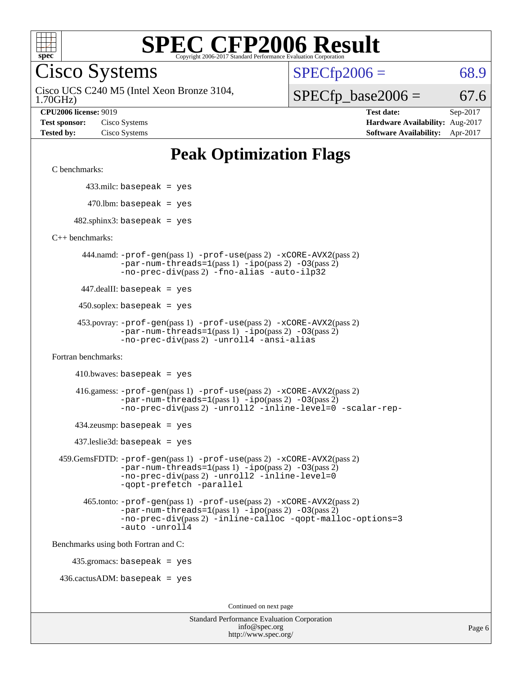

Cisco Systems

 $SPECTp2006 = 68.9$ 

1.70GHz) Cisco UCS C240 M5 (Intel Xeon Bronze 3104,  $SPECTp\_base2006 = 67.6$ 

**[CPU2006 license:](http://www.spec.org/auto/cpu2006/Docs/result-fields.html#CPU2006license)** 9019 **[Test date:](http://www.spec.org/auto/cpu2006/Docs/result-fields.html#Testdate)** Sep-2017 **[Test sponsor:](http://www.spec.org/auto/cpu2006/Docs/result-fields.html#Testsponsor)** Cisco Systems **[Hardware Availability:](http://www.spec.org/auto/cpu2006/Docs/result-fields.html#HardwareAvailability)** Aug-2017 **[Tested by:](http://www.spec.org/auto/cpu2006/Docs/result-fields.html#Testedby)** Cisco Systems **[Software Availability:](http://www.spec.org/auto/cpu2006/Docs/result-fields.html#SoftwareAvailability)** Apr-2017

### **[Peak Optimization Flags](http://www.spec.org/auto/cpu2006/Docs/result-fields.html#PeakOptimizationFlags)**

[C benchmarks](http://www.spec.org/auto/cpu2006/Docs/result-fields.html#Cbenchmarks):

433.milc: basepeak = yes

 $470.$ lbm: basepeak = yes

 $482$ .sphinx3: basepeak = yes

[C++ benchmarks:](http://www.spec.org/auto/cpu2006/Docs/result-fields.html#CXXbenchmarks)

 444.namd: [-prof-gen](http://www.spec.org/cpu2006/results/res2017q4/cpu2006-20170919-50248.flags.html#user_peakPASS1_CXXFLAGSPASS1_LDFLAGS444_namd_prof_gen_e43856698f6ca7b7e442dfd80e94a8fc)(pass 1) [-prof-use](http://www.spec.org/cpu2006/results/res2017q4/cpu2006-20170919-50248.flags.html#user_peakPASS2_CXXFLAGSPASS2_LDFLAGS444_namd_prof_use_bccf7792157ff70d64e32fe3e1250b55)(pass 2) [-xCORE-AVX2](http://www.spec.org/cpu2006/results/res2017q4/cpu2006-20170919-50248.flags.html#user_peakPASS2_CXXFLAGSPASS2_LDFLAGS444_namd_f-xCORE-AVX2)(pass 2)  $-par-num-threads=1(pass 1) -ipo(pass 2) -O3(pass 2)$  $-par-num-threads=1(pass 1) -ipo(pass 2) -O3(pass 2)$  $-par-num-threads=1(pass 1) -ipo(pass 2) -O3(pass 2)$  $-par-num-threads=1(pass 1) -ipo(pass 2) -O3(pass 2)$  $-par-num-threads=1(pass 1) -ipo(pass 2) -O3(pass 2)$  $-par-num-threads=1(pass 1) -ipo(pass 2) -O3(pass 2)$ [-no-prec-div](http://www.spec.org/cpu2006/results/res2017q4/cpu2006-20170919-50248.flags.html#user_peakPASS2_CXXFLAGSPASS2_LDFLAGS444_namd_f-no-prec-div)(pass 2) [-fno-alias](http://www.spec.org/cpu2006/results/res2017q4/cpu2006-20170919-50248.flags.html#user_peakCXXOPTIMIZEOPTIMIZE444_namd_f-no-alias_694e77f6c5a51e658e82ccff53a9e63a) [-auto-ilp32](http://www.spec.org/cpu2006/results/res2017q4/cpu2006-20170919-50248.flags.html#user_peakCXXOPTIMIZE444_namd_f-auto-ilp32)

447.dealII: basepeak = yes

 $450$ .soplex: basepeak = yes

 453.povray: [-prof-gen](http://www.spec.org/cpu2006/results/res2017q4/cpu2006-20170919-50248.flags.html#user_peakPASS1_CXXFLAGSPASS1_LDFLAGS453_povray_prof_gen_e43856698f6ca7b7e442dfd80e94a8fc)(pass 1) [-prof-use](http://www.spec.org/cpu2006/results/res2017q4/cpu2006-20170919-50248.flags.html#user_peakPASS2_CXXFLAGSPASS2_LDFLAGS453_povray_prof_use_bccf7792157ff70d64e32fe3e1250b55)(pass 2) [-xCORE-AVX2](http://www.spec.org/cpu2006/results/res2017q4/cpu2006-20170919-50248.flags.html#user_peakPASS2_CXXFLAGSPASS2_LDFLAGS453_povray_f-xCORE-AVX2)(pass 2)  $-par-num-threads=1(pass 1) -ipo(pass 2) -O3(pass 2)$  $-par-num-threads=1(pass 1) -ipo(pass 2) -O3(pass 2)$  $-par-num-threads=1(pass 1) -ipo(pass 2) -O3(pass 2)$  $-par-num-threads=1(pass 1) -ipo(pass 2) -O3(pass 2)$  $-par-num-threads=1(pass 1) -ipo(pass 2) -O3(pass 2)$  $-par-num-threads=1(pass 1) -ipo(pass 2) -O3(pass 2)$ [-no-prec-div](http://www.spec.org/cpu2006/results/res2017q4/cpu2006-20170919-50248.flags.html#user_peakPASS2_CXXFLAGSPASS2_LDFLAGS453_povray_f-no-prec-div)(pass 2) [-unroll4](http://www.spec.org/cpu2006/results/res2017q4/cpu2006-20170919-50248.flags.html#user_peakCXXOPTIMIZE453_povray_f-unroll_4e5e4ed65b7fd20bdcd365bec371b81f) [-ansi-alias](http://www.spec.org/cpu2006/results/res2017q4/cpu2006-20170919-50248.flags.html#user_peakCXXOPTIMIZE453_povray_f-ansi-alias)

[Fortran benchmarks](http://www.spec.org/auto/cpu2006/Docs/result-fields.html#Fortranbenchmarks):

 $410.bwaves: basepeak = yes$ 

 416.gamess: [-prof-gen](http://www.spec.org/cpu2006/results/res2017q4/cpu2006-20170919-50248.flags.html#user_peakPASS1_FFLAGSPASS1_LDFLAGS416_gamess_prof_gen_e43856698f6ca7b7e442dfd80e94a8fc)(pass 1) [-prof-use](http://www.spec.org/cpu2006/results/res2017q4/cpu2006-20170919-50248.flags.html#user_peakPASS2_FFLAGSPASS2_LDFLAGS416_gamess_prof_use_bccf7792157ff70d64e32fe3e1250b55)(pass 2) [-xCORE-AVX2](http://www.spec.org/cpu2006/results/res2017q4/cpu2006-20170919-50248.flags.html#user_peakPASS2_FFLAGSPASS2_LDFLAGS416_gamess_f-xCORE-AVX2)(pass 2)  $-par-num-threads=1(pass 1) -ipo(pass 2) -O3(pass 2)$  $-par-num-threads=1(pass 1) -ipo(pass 2) -O3(pass 2)$  $-par-num-threads=1(pass 1) -ipo(pass 2) -O3(pass 2)$  $-par-num-threads=1(pass 1) -ipo(pass 2) -O3(pass 2)$  $-par-num-threads=1(pass 1) -ipo(pass 2) -O3(pass 2)$  $-par-num-threads=1(pass 1) -ipo(pass 2) -O3(pass 2)$ [-no-prec-div](http://www.spec.org/cpu2006/results/res2017q4/cpu2006-20170919-50248.flags.html#user_peakPASS2_FFLAGSPASS2_LDFLAGS416_gamess_f-no-prec-div)(pass 2) [-unroll2](http://www.spec.org/cpu2006/results/res2017q4/cpu2006-20170919-50248.flags.html#user_peakOPTIMIZE416_gamess_f-unroll_784dae83bebfb236979b41d2422d7ec2) [-inline-level=0](http://www.spec.org/cpu2006/results/res2017q4/cpu2006-20170919-50248.flags.html#user_peakOPTIMIZE416_gamess_f-inline-level_318d07a09274ad25e8d15dbfaa68ba50) [-scalar-rep-](http://www.spec.org/cpu2006/results/res2017q4/cpu2006-20170919-50248.flags.html#user_peakOPTIMIZE416_gamess_f-disablescalarrep_abbcad04450fb118e4809c81d83c8a1d)

 $434$ .zeusmp: basepeak = yes

437.leslie3d: basepeak = yes

```
 459.GemsFDTD: -prof-gen(pass 1) -prof-use(pass 2) -xCORE-AVX2(pass 2)
 -par-num-threads=1(pass 1) -ipo(pass 2) -O3(pass 2)
 -no-prec-div(pass 2) -unroll2 -inline-level=0
 -qopt-prefetch -parallel
```
 465.tonto: [-prof-gen](http://www.spec.org/cpu2006/results/res2017q4/cpu2006-20170919-50248.flags.html#user_peakPASS1_FFLAGSPASS1_LDFLAGS465_tonto_prof_gen_e43856698f6ca7b7e442dfd80e94a8fc)(pass 1) [-prof-use](http://www.spec.org/cpu2006/results/res2017q4/cpu2006-20170919-50248.flags.html#user_peakPASS2_FFLAGSPASS2_LDFLAGS465_tonto_prof_use_bccf7792157ff70d64e32fe3e1250b55)(pass 2) [-xCORE-AVX2](http://www.spec.org/cpu2006/results/res2017q4/cpu2006-20170919-50248.flags.html#user_peakPASS2_FFLAGSPASS2_LDFLAGS465_tonto_f-xCORE-AVX2)(pass 2)  $-par-num-threads=1(pass 1) -ipo(pass 2) -O3(pass 2)$  $-par-num-threads=1(pass 1) -ipo(pass 2) -O3(pass 2)$  $-par-num-threads=1(pass 1) -ipo(pass 2) -O3(pass 2)$  $-par-num-threads=1(pass 1) -ipo(pass 2) -O3(pass 2)$  $-par-num-threads=1(pass 1) -ipo(pass 2) -O3(pass 2)$  $-par-num-threads=1(pass 1) -ipo(pass 2) -O3(pass 2)$ [-no-prec-div](http://www.spec.org/cpu2006/results/res2017q4/cpu2006-20170919-50248.flags.html#user_peakPASS2_FFLAGSPASS2_LDFLAGS465_tonto_f-no-prec-div)(pass 2) [-inline-calloc](http://www.spec.org/cpu2006/results/res2017q4/cpu2006-20170919-50248.flags.html#user_peakOPTIMIZE465_tonto_f-inline-calloc) [-qopt-malloc-options=3](http://www.spec.org/cpu2006/results/res2017q4/cpu2006-20170919-50248.flags.html#user_peakOPTIMIZE465_tonto_f-qopt-malloc-options_0fcb435012e78f27d57f473818e45fe4) [-auto](http://www.spec.org/cpu2006/results/res2017q4/cpu2006-20170919-50248.flags.html#user_peakOPTIMIZE465_tonto_f-auto) [-unroll4](http://www.spec.org/cpu2006/results/res2017q4/cpu2006-20170919-50248.flags.html#user_peakOPTIMIZE465_tonto_f-unroll_4e5e4ed65b7fd20bdcd365bec371b81f)

[Benchmarks using both Fortran and C](http://www.spec.org/auto/cpu2006/Docs/result-fields.html#BenchmarksusingbothFortranandC):

435.gromacs: basepeak = yes

 $436.cactusADM:basepeak = yes$ 

Continued on next page